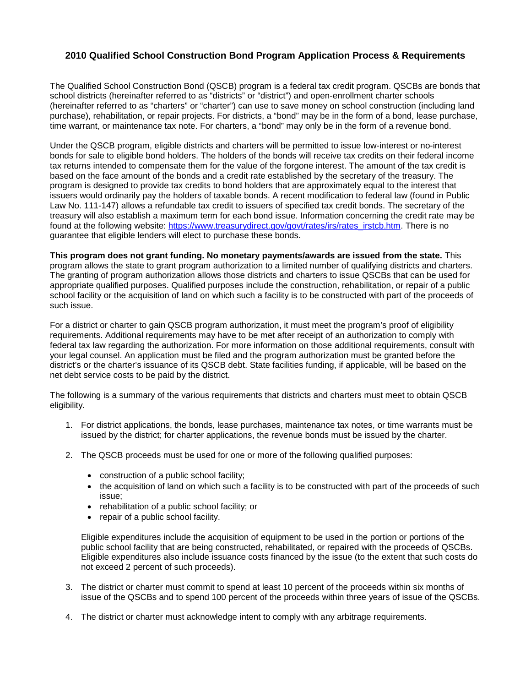## **2010 Qualified School Construction Bond Program Application Process & Requirements**

The Qualified School Construction Bond (QSCB) program is a federal tax credit program. QSCBs are bonds that school districts (hereinafter referred to as "districts" or "district") and open-enrollment charter schools (hereinafter referred to as "charters" or "charter") can use to save money on school construction (including land purchase), rehabilitation, or repair projects. For districts, a "bond" may be in the form of a bond, lease purchase, time warrant, or maintenance tax note. For charters, a "bond" may only be in the form of a revenue bond.

Under the QSCB program, eligible districts and charters will be permitted to issue low-interest or no-interest bonds for sale to eligible bond holders. The holders of the bonds will receive tax credits on their federal income tax returns intended to compensate them for the value of the forgone interest. The amount of the tax credit is based on the face amount of the bonds and a credit rate established by the secretary of the treasury. The program is designed to provide tax credits to bond holders that are approximately equal to the interest that issuers would ordinarily pay the holders of taxable bonds. A recent modification to federal law (found in Public Law No. 111-147) allows a refundable tax credit to issuers of specified tax credit bonds. The secretary of the treasury will also establish a maximum term for each bond issue. Information concerning the credit rate may be found at the following website: https://www.treasurydirect.gov/govt/rates/irs/rates\_irstcb.htm. There is no guarantee that eligible lenders will elect to purchase these bonds.

**This program does not grant funding. No monetary payments/awards are issued from the state.** This program allows the state to grant program authorization to a limited number of qualifying districts and charters. The granting of program authorization allows those districts and charters to issue QSCBs that can be used for appropriate qualified purposes. Qualified purposes include the construction, rehabilitation, or repair of a public school facility or the acquisition of land on which such a facility is to be constructed with part of the proceeds of such issue.

For a district or charter to gain QSCB program authorization, it must meet the program's proof of eligibility requirements. Additional requirements may have to be met after receipt of an authorization to comply with federal tax law regarding the authorization. For more information on those additional requirements, consult with your legal counsel. An application must be filed and the program authorization must be granted before the district's or the charter's issuance of its QSCB debt. State facilities funding, if applicable, will be based on the net debt service costs to be paid by the district.

The following is a summary of the various requirements that districts and charters must meet to obtain QSCB eligibility.

- 1. For district applications, the bonds, lease purchases, maintenance tax notes, or time warrants must be issued by the district; for charter applications, the revenue bonds must be issued by the charter.
- 2. The QSCB proceeds must be used for one or more of the following qualified purposes:
	- construction of a public school facility;
	- the acquisition of land on which such a facility is to be constructed with part of the proceeds of such issue;
	- rehabilitation of a public school facility; or
	- repair of a public school facility.

Eligible expenditures include the acquisition of equipment to be used in the portion or portions of the public school facility that are being constructed, rehabilitated, or repaired with the proceeds of QSCBs. Eligible expenditures also include issuance costs financed by the issue (to the extent that such costs do not exceed 2 percent of such proceeds).

- 3. The district or charter must commit to spend at least 10 percent of the proceeds within six months of issue of the QSCBs and to spend 100 percent of the proceeds within three years of issue of the QSCBs.
- 4. The district or charter must acknowledge intent to comply with any arbitrage requirements.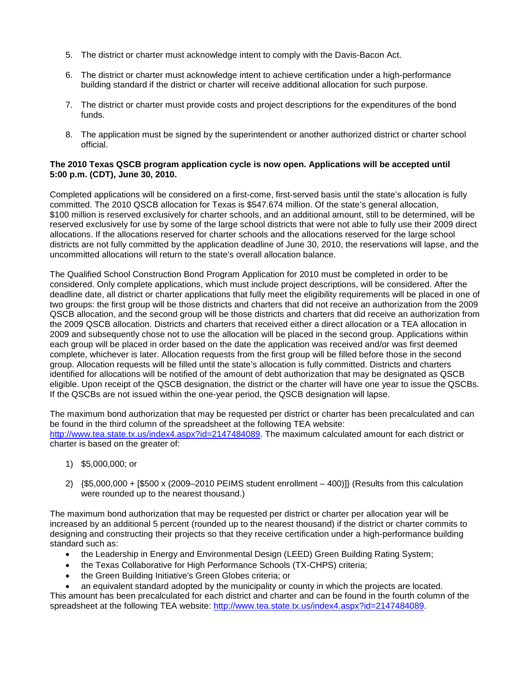- 5. The district or charter must acknowledge intent to comply with the Davis-Bacon Act.
- 6. The district or charter must acknowledge intent to achieve certification under a high-performance building standard if the district or charter will receive additional allocation for such purpose.
- 7. The district or charter must provide costs and project descriptions for the expenditures of the bond funds.
- 8. The application must be signed by the superintendent or another authorized district or charter school official.

## **The 2010 Texas QSCB program application cycle is now open. Applications will be accepted until 5:00 p.m. (CDT), June 30, 2010.**

Completed applications will be considered on a first-come, first-served basis until the state's allocation is fully committed. The 2010 QSCB allocation for Texas is \$547.674 million. Of the state's general allocation, \$100 million is reserved exclusively for charter schools, and an additional amount, still to be determined, will be reserved exclusively for use by some of the large school districts that were not able to fully use their 2009 direct allocations. If the allocations reserved for charter schools and the allocations reserved for the large school districts are not fully committed by the application deadline of June 30, 2010, the reservations will lapse, and the uncommitted allocations will return to the state's overall allocation balance.

The Qualified School Construction Bond Program Application for 2010 must be completed in order to be considered. Only complete applications, which must include project descriptions, will be considered. After the deadline date, all district or charter applications that fully meet the eligibility requirements will be placed in one of two groups: the first group will be those districts and charters that did not receive an authorization from the 2009 QSCB allocation, and the second group will be those districts and charters that did receive an authorization from the 2009 QSCB allocation. Districts and charters that received either a direct allocation or a TEA allocation in 2009 and subsequently chose not to use the allocation will be placed in the second group. Applications within each group will be placed in order based on the date the application was received and/or was first deemed complete, whichever is later. Allocation requests from the first group will be filled before those in the second group. Allocation requests will be filled until the state's allocation is fully committed. Districts and charters identified for allocations will be notified of the amount of debt authorization that may be designated as QSCB eligible. Upon receipt of the QSCB designation, the district or the charter will have one year to issue the QSCBs. If the QSCBs are not issued within the one-year period, the QSCB designation will lapse.

The maximum bond authorization that may be requested per district or charter has been precalculated and can be found in the third column of the spreadsheet at the following TEA website: [http://www.tea.state.tx.us/index4.aspx?id=2147484089.](http://www.tea.state.tx.us/index4.aspx?id=2147484089) The maximum calculated amount for each district or charter is based on the greater of:

- 1) \$5,000,000; or
- 2) {\$5,000,000 + [\$500 x (2009–2010 PEIMS student enrollment 400)]} (Results from this calculation were rounded up to the nearest thousand.)

The maximum bond authorization that may be requested per district or charter per allocation year will be increased by an additional 5 percent (rounded up to the nearest thousand) if the district or charter commits to designing and constructing their projects so that they receive certification under a high-performance building standard such as:

- the Leadership in Energy and Environmental Design (LEED) Green Building Rating System;
- the Texas Collaborative for High Performance Schools (TX-CHPS) criteria;
- the Green Building Initiative's Green Globes criteria; or

• an equivalent standard adopted by the municipality or county in which the projects are located. This amount has been precalculated for each district and charter and can be found in the fourth column of the spreadsheet at the following TEA website: [http://www.tea.state.tx.us/index4.aspx?id=2147484089.](http://tea.state.tx.us./somewhere)